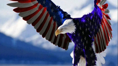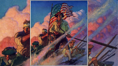

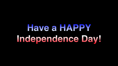## **Have a HAPPY Independence Day!**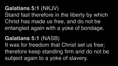# therefore keep standing firm and do not be

**Galatians 5:1** (NKJV) Christ has made us free, and do not be entangled again with a yoke of bondage. **Galatians 5:1** (NASB) It was for freedom that Christ set us free;

subject again to a yoke of slavery.

# Stand fast therefore in the liberty by which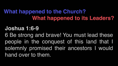### **What happened to the Church? What happened to its Leaders?**

**Joshua 1:6-9**  6 Be strong and brave! You must lead these people in the conquest of this land that I solemnly promised their ancestors I would hand over to them.



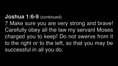**Joshua 1:6-9** (continued) 7 Make sure you are very strong and brave! Carefully obey all the law my servant Moses charged you to keep! Do not swerve from it to the right or to the left, so that you may be successful in all you do.

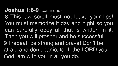**Joshua 1:6-9** (continued) 8 This law scroll must not leave your lips! You must memorize it day and night so you can carefully obey all that is written in it. Then you will prosper and be successful. 9 I repeat, be strong and brave! Don't be afraid and don't panic, for I, the LORD your God, am with you in all you do.

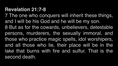**Revelation 21:7-8**  7 The one who conquers will inherit these things, and I will be his God and he will be my son. 8 But as for the cowards, unbelievers, detestable persons, murderers, the sexually immoral, and those who practice magic spells, idol worshipers, and all those who lie, their place will be in the lake that burns with fire and sulfur. That is the second death.

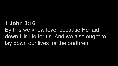### **1 John 3:16**  By this we know love, because He laid lay down our lives for the brethren.

down His life for us. And we also ought to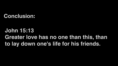#### **Conclusion:**

**John 15:13 Greater love has no one than this, than to lay down one's life for his friends.**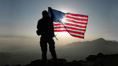